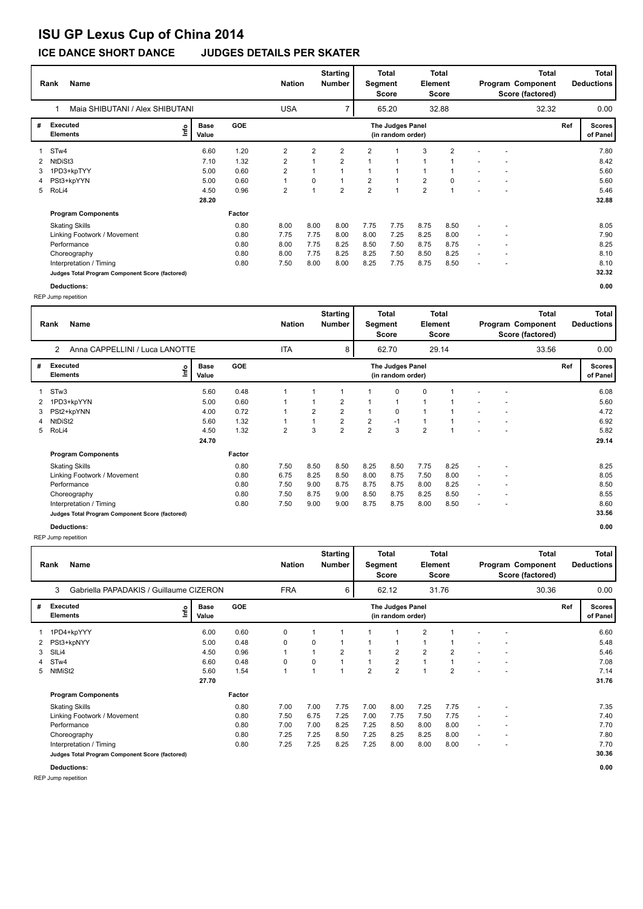# **ISU GP Lexus Cup of China 2014**

### **ICE DANCE SHORT DANCE JUDGES DETAILS PER SKATER**

| <b>Name</b><br>Rank             |                                                 |               |            | <b>Nation</b>  |                         | <b>Starting</b><br><b>Number</b> | <b>Total</b><br><b>Total</b><br>Element<br>Segment<br><b>Score</b><br>Score |                                       |                         |                | <b>Total</b><br>Program Component<br>Score (factored) |  |      | Total<br><b>Deductions</b> |                           |
|---------------------------------|-------------------------------------------------|---------------|------------|----------------|-------------------------|----------------------------------|-----------------------------------------------------------------------------|---------------------------------------|-------------------------|----------------|-------------------------------------------------------|--|------|----------------------------|---------------------------|
| Maia SHIBUTANI / Alex SHIBUTANI |                                                 |               |            | <b>USA</b>     |                         | $\overline{ }$                   | 32.88<br>65.20                                                              |                                       |                         | 32.32          |                                                       |  | 0.00 |                            |                           |
| #                               | Executed<br>lnfo<br><b>Elements</b>             | Base<br>Value | <b>GOE</b> |                |                         |                                  |                                                                             | The Judges Panel<br>(in random order) |                         |                |                                                       |  |      | Ref                        | <b>Scores</b><br>of Panel |
|                                 | STw4                                            | 6.60          | 1.20       | $\overline{2}$ | $\overline{\mathbf{c}}$ | $\overline{2}$                   | 2                                                                           |                                       | 3                       | $\overline{2}$ |                                                       |  |      |                            | 7.80                      |
| 2                               | NtDiSt3                                         | 7.10          | 1.32       | 2              | 1                       | $\overline{2}$                   |                                                                             |                                       | $\mathbf{1}$            |                |                                                       |  |      |                            | 8.42                      |
| 3.                              | 1PD3+kpTYY                                      | 5.00          | 0.60       | $\overline{2}$ | 1                       |                                  |                                                                             | 1                                     | $\mathbf{1}$            |                |                                                       |  |      |                            | 5.60                      |
| 4                               | PSt3+kpYYN                                      | 5.00          | 0.60       | $\mathbf{1}$   | 0                       |                                  | $\overline{2}$                                                              | $\overline{ }$                        | $\overline{\mathbf{c}}$ | 0              | $\overline{\phantom{a}}$                              |  |      |                            | 5.60                      |
| 5                               | RoLi4                                           | 4.50          | 0.96       | $\overline{2}$ | 1                       | $\overline{2}$                   | $\overline{2}$                                                              | $\overline{1}$                        | $\overline{\mathbf{c}}$ |                |                                                       |  |      |                            | 5.46                      |
|                                 |                                                 | 28.20         |            |                |                         |                                  |                                                                             |                                       |                         |                |                                                       |  |      |                            | 32.88                     |
|                                 | <b>Program Components</b>                       |               | Factor     |                |                         |                                  |                                                                             |                                       |                         |                |                                                       |  |      |                            |                           |
|                                 | <b>Skating Skills</b>                           |               | 0.80       | 8.00           | 8.00                    | 8.00                             | 7.75                                                                        | 7.75                                  | 8.75                    | 8.50           |                                                       |  |      |                            | 8.05                      |
|                                 | Linking Footwork / Movement                     |               | 0.80       | 7.75           | 7.75                    | 8.00                             | 8.00                                                                        | 7.25                                  | 8.25                    | 8.00           |                                                       |  |      |                            | 7.90                      |
|                                 | Performance                                     |               | 0.80       | 8.00           | 7.75                    | 8.25                             | 8.50                                                                        | 7.50                                  | 8.75                    | 8.75           | $\overline{\phantom{a}}$                              |  |      |                            | 8.25                      |
|                                 | Choreography                                    |               | 0.80       | 8.00           | 7.75                    | 8.25                             | 8.25                                                                        | 7.50                                  | 8.50                    | 8.25           |                                                       |  |      |                            | 8.10                      |
|                                 | Interpretation / Timing                         |               | 0.80       | 7.50           | 8.00                    | 8.00                             | 8.25                                                                        | 7.75                                  | 8.75                    | 8.50           |                                                       |  |      |                            | 8.10                      |
|                                 | Judges Total Program Component Score (factored) |               |            |                |                         |                                  |                                                                             |                                       |                         |                |                                                       |  |      |                            | 32.32                     |

**Deductions: 0.00** REP Jump repetition

REP Jump repetition

| <b>Name</b><br>Rank |                                                 |                      |            | <b>Nation</b> |          | Starting<br>Number | <b>Total</b><br><b>Total</b><br>Segment<br>Element<br><b>Score</b><br><b>Score</b> |                                       |                |                | <b>Total</b><br>Program Component<br>Score (factored) |        |  | <b>Total</b><br><b>Deductions</b> |                           |
|---------------------|-------------------------------------------------|----------------------|------------|---------------|----------|--------------------|------------------------------------------------------------------------------------|---------------------------------------|----------------|----------------|-------------------------------------------------------|--------|--|-----------------------------------|---------------------------|
|                     | Gabriella PAPADAKIS / Guillaume CIZERON<br>3    |                      | <b>FRA</b> |               | 6        |                    | 62.12                                                                              |                                       | 31.76          |                |                                                       | 30.36  |  | 0.00                              |                           |
| #                   | Executed<br>lmo<br><b>Elements</b>              | <b>Base</b><br>Value | <b>GOE</b> |               |          |                    |                                                                                    | The Judges Panel<br>(in random order) |                |                |                                                       |        |  | Ref                               | <b>Scores</b><br>of Panel |
|                     | 1PD4+kpYYY                                      | 6.00                 | 0.60       | 0             |          |                    |                                                                                    | 1                                     | $\overline{2}$ |                |                                                       |        |  |                                   | 6.60                      |
|                     | PSt3+kpNYY                                      | 5.00                 | 0.48       | $\mathbf 0$   | 0        |                    |                                                                                    | 1                                     |                | 1              |                                                       |        |  |                                   | 5.48                      |
| 3                   | SILi4                                           | 4.50                 | 0.96       |               |          | $\overline{2}$     |                                                                                    | 2                                     | $\overline{2}$ | 2              | $\overline{a}$                                        |        |  |                                   | 5.46                      |
|                     | 4 STw4                                          | 6.60                 | 0.48       | 0             | $\Omega$ |                    |                                                                                    | $\overline{\mathbf{c}}$               | $\overline{A}$ | 1              | $\sim$                                                | $\sim$ |  |                                   | 7.08                      |
|                     | 5 NtMiSt2                                       | 5.60                 | 1.54       |               |          |                    | $\overline{2}$                                                                     | $\overline{\mathbf{c}}$               | $\overline{ }$ | $\overline{2}$ |                                                       |        |  |                                   | 7.14                      |
|                     |                                                 | 27.70                |            |               |          |                    |                                                                                    |                                       |                |                |                                                       |        |  |                                   | 31.76                     |
|                     | <b>Program Components</b>                       |                      | Factor     |               |          |                    |                                                                                    |                                       |                |                |                                                       |        |  |                                   |                           |
|                     | <b>Skating Skills</b>                           |                      | 0.80       | 7.00          | 7.00     | 7.75               | 7.00                                                                               | 8.00                                  | 7.25           | 7.75           |                                                       |        |  |                                   | 7.35                      |
|                     | Linking Footwork / Movement                     |                      | 0.80       | 7.50          | 6.75     | 7.25               | 7.00                                                                               | 7.75                                  | 7.50           | 7.75           |                                                       |        |  |                                   | 7.40                      |
|                     | Performance                                     |                      | 0.80       | 7.00          | 7.00     | 8.25               | 7.25                                                                               | 8.50                                  | 8.00           | 8.00           |                                                       |        |  |                                   | 7.70                      |
|                     | Choreography                                    |                      | 0.80       | 7.25          | 7.25     | 8.50               | 7.25                                                                               | 8.25                                  | 8.25           | 8.00           |                                                       |        |  |                                   | 7.80                      |
|                     | Interpretation / Timing                         |                      | 0.80       | 7.25          | 7.25     | 8.25               | 7.25                                                                               | 8.00                                  | 8.00           | 8.00           |                                                       |        |  |                                   | 7.70                      |
|                     | Judges Total Program Component Score (factored) |                      |            |               |          |                    |                                                                                    |                                       |                |                |                                                       |        |  |                                   | 30.36                     |
|                     | <b>Deductions:</b>                              |                      |            |               |          |                    |                                                                                    |                                       |                |                |                                                       |        |  |                                   | 0.00                      |

REP Jump repetition

**Rank Name Total Nation Deductions Program Component Total Segment Score Total Element Score Total Score (factored) Starting Number** Anna CAPPELLINI / Luca LANOTTE ITA 8 62.70 29.14 **# Executed Elements Base Value GOE Scores The Judges Panel of Panel** 1 5.60 0.48 1 1 1 1 0 0 1 - - **Ref**  6.08 2 **(in random order)** 33.56 STw3 **Info** 8 62.70 29.14 33.56 0.00 2 1PD3+kpYYN 5.00 0.60 1 1 2 1 1 1 1 - - 5.60 3 PSt2+kpYNN 4.00 0.72 1 2 2 1 0 1 1 - - 4.72 4 NtDiSt2 5.60 1.32 1 1 2 2 -1 1 1 - - 6.92 5 RoLi4 4.50 1.32 2 3 2 2 3 2 1 - - 5.82  **24.70 Program Components**  Skating Skills 7.50 8.50 8.50 8.25 8.50 7.75 8.25 - - **Factor** 0.80 8.25  **29.14** Linking Footwork / Movement 0.80 6.75 8.25 8.50 8.00 8.75 7.50 8.00 - - 8.05 Performance 0.80 7.50 9.00 8.75 8.75 8.75 8.00 8.25 - - 8.50 Choreography 0.80 7.50 8.75 9.00 8.50 8.75 8.25 8.50 - - 8.55 Interpretation / Timing 0.80 7.50 9.00 9.00 8.75 8.75 8.00 8.50 - - 8.60 **Judges Total Program Component Score (factored) 33.56 Deductions: 0.00**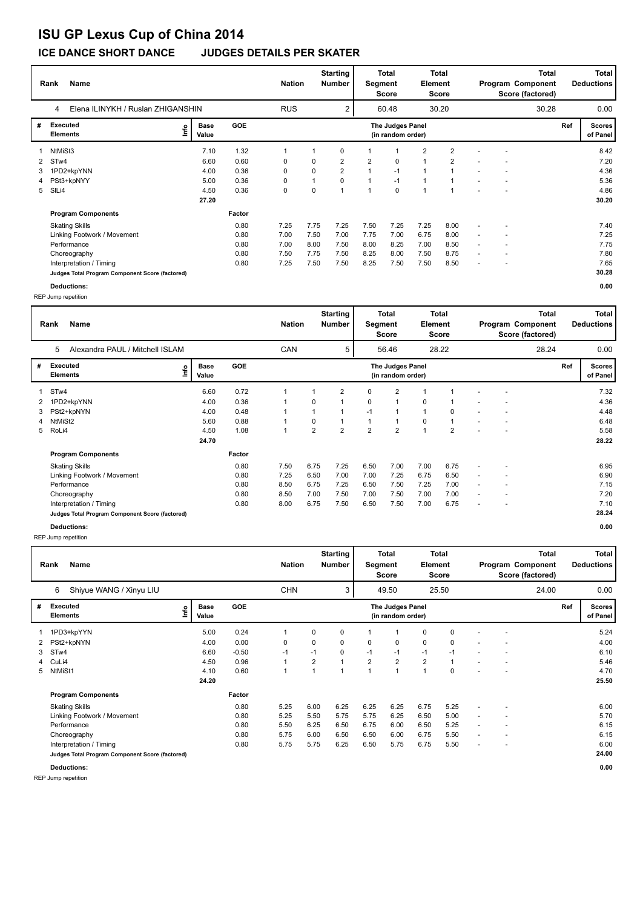# **ISU GP Lexus Cup of China 2014**

### **ICE DANCE SHORT DANCE JUDGES DETAILS PER SKATER**

| <b>Name</b><br>Rank                    |                                                 |                      |            |      | <b>Nation</b>  | <b>Starting</b><br><b>Number</b> | Total<br>Total<br>Element<br>Segment<br>Score<br>Score |                                       |      |                | <b>Total</b><br>Program Component<br>Score (factored) |  |       | Total<br><b>Deductions</b> |                      |
|----------------------------------------|-------------------------------------------------|----------------------|------------|------|----------------|----------------------------------|--------------------------------------------------------|---------------------------------------|------|----------------|-------------------------------------------------------|--|-------|----------------------------|----------------------|
| Elena ILINYKH / Ruslan ZHIGANSHIN<br>4 |                                                 |                      |            |      |                | 2                                |                                                        | 60.48                                 |      | 30.20          |                                                       |  | 30.28 |                            | 0.00                 |
| #                                      | Executed<br>١nf٥<br><b>Elements</b>             | <b>Base</b><br>Value | <b>GOE</b> |      |                |                                  |                                                        | The Judges Panel<br>(in random order) |      |                |                                                       |  |       | Ref                        | Scores  <br>of Panel |
|                                        | NtMiSt3                                         | 7.10                 | 1.32       |      |                | 0                                |                                                        |                                       | 2    | 2              |                                                       |  |       |                            | 8.42                 |
| 2                                      | STw4                                            | 6.60                 | 0.60       | 0    | 0              | $\overline{2}$                   | $\overline{2}$                                         | 0                                     | 1    | $\overline{2}$ |                                                       |  |       |                            | 7.20                 |
| 3.                                     | 1PD2+kpYNN                                      | 4.00                 | 0.36       | 0    | 0              | $\overline{2}$                   |                                                        | $-1$                                  | 1    | 1              |                                                       |  |       |                            | 4.36                 |
| 4                                      | PSt3+kpNYY                                      | 5.00                 | 0.36       | 0    | $\overline{1}$ | $\mathbf 0$                      |                                                        | $-1$                                  | 1    |                |                                                       |  |       |                            | 5.36                 |
| 5                                      | SILi4                                           | 4.50                 | 0.36       | 0    | 0              | $\overline{ }$                   |                                                        | $\mathbf 0$                           | 4    | 1              |                                                       |  |       |                            | 4.86                 |
|                                        |                                                 | 27.20                |            |      |                |                                  |                                                        |                                       |      |                |                                                       |  |       |                            | 30.20                |
|                                        | <b>Program Components</b>                       |                      | Factor     |      |                |                                  |                                                        |                                       |      |                |                                                       |  |       |                            |                      |
|                                        | <b>Skating Skills</b>                           |                      | 0.80       | 7.25 | 7.75           | 7.25                             | 7.50                                                   | 7.25                                  | 7.25 | 8.00           |                                                       |  |       |                            | 7.40                 |
|                                        | Linking Footwork / Movement                     |                      | 0.80       | 7.00 | 7.50           | 7.00                             | 7.75                                                   | 7.00                                  | 6.75 | 8.00           | ٠                                                     |  |       |                            | 7.25                 |
|                                        | Performance                                     |                      | 0.80       | 7.00 | 8.00           | 7.50                             | 8.00                                                   | 8.25                                  | 7.00 | 8.50           | $\overline{\phantom{a}}$                              |  |       |                            | 7.75                 |
|                                        | Choreography                                    |                      | 0.80       | 7.50 | 7.75           | 7.50                             | 8.25                                                   | 8.00                                  | 7.50 | 8.75           | $\overline{\phantom{a}}$                              |  |       |                            | 7.80                 |
|                                        | Interpretation / Timing                         |                      | 0.80       | 7.25 | 7.50           | 7.50                             | 8.25                                                   | 7.50                                  | 7.50 | 8.50           |                                                       |  |       |                            | 7.65                 |
|                                        | Judges Total Program Component Score (factored) |                      |            |      |                |                                  |                                                        |                                       |      |                |                                                       |  |       |                            | 30.28                |

**Deductions: 0.00** REP Jump repetition

REP Jump repetition

| <b>Name</b><br>Rank  |                                                 |                              |            | <b>Nation</b> |                | <b>Starting</b><br>Number | <b>Total</b><br><b>Total</b><br>Segment<br>Element<br><b>Score</b><br><b>Score</b> |                                       |                | <b>Total</b><br>Program Component<br>Score (factored) |                          |                          | <b>Total</b><br><b>Deductions</b> |     |                           |
|----------------------|-------------------------------------------------|------------------------------|------------|---------------|----------------|---------------------------|------------------------------------------------------------------------------------|---------------------------------------|----------------|-------------------------------------------------------|--------------------------|--------------------------|-----------------------------------|-----|---------------------------|
|                      | Shiyue WANG / Xinyu LIU<br>6                    |                              |            | <b>CHN</b>    |                | 3                         |                                                                                    | 49.50                                 |                | 25.50                                                 |                          |                          | 24.00                             |     | 0.00                      |
| #                    | <b>Executed</b><br><b>Elements</b>              | <b>Base</b><br>lnfo<br>Value | <b>GOE</b> |               |                |                           |                                                                                    | The Judges Panel<br>(in random order) |                |                                                       |                          |                          |                                   | Ref | <b>Scores</b><br>of Panel |
|                      | 1PD3+kpYYN                                      | 5.00                         | 0.24       | 1             | $\Omega$       | 0                         |                                                                                    | $\mathbf{1}$                          | 0              | 0                                                     |                          |                          |                                   |     | 5.24                      |
| $\mathbf{2}^{\circ}$ | PSt2+kpNYN                                      | 4.00                         | 0.00       | 0             | $\Omega$       | 0                         | 0                                                                                  | 0                                     | 0              | 0                                                     |                          | ٠                        |                                   |     | 4.00                      |
| 3                    | STw4                                            | 6.60                         | $-0.50$    | $-1$          | $-1$           | 0                         | $-1$                                                                               | $-1$                                  | $-1$           | $-1$                                                  | $\overline{\phantom{a}}$ | ٠                        |                                   |     | 6.10                      |
| $\overline{4}$       | CuLi4                                           | 4.50                         | 0.96       | 1             | $\overline{2}$ |                           | $\overline{2}$                                                                     | $\overline{2}$                        | $\overline{2}$ |                                                       | $\overline{\phantom{a}}$ | $\overline{\phantom{a}}$ |                                   |     | 5.46                      |
| 5                    | NtMiSt1                                         | 4.10                         | 0.60       | 1             |                |                           | $\overline{ }$                                                                     | 1                                     | 1              | 0                                                     |                          |                          |                                   |     | 4.70                      |
|                      |                                                 | 24.20                        |            |               |                |                           |                                                                                    |                                       |                |                                                       |                          |                          |                                   |     | 25.50                     |
|                      | <b>Program Components</b>                       |                              | Factor     |               |                |                           |                                                                                    |                                       |                |                                                       |                          |                          |                                   |     |                           |
|                      | <b>Skating Skills</b>                           |                              | 0.80       | 5.25          | 6.00           | 6.25                      | 6.25                                                                               | 6.25                                  | 6.75           | 5.25                                                  |                          |                          |                                   |     | 6.00                      |
|                      | Linking Footwork / Movement                     |                              | 0.80       | 5.25          | 5.50           | 5.75                      | 5.75                                                                               | 6.25                                  | 6.50           | 5.00                                                  | $\overline{a}$           | ٠                        |                                   |     | 5.70                      |
|                      | Performance                                     |                              | 0.80       | 5.50          | 6.25           | 6.50                      | 6.75                                                                               | 6.00                                  | 6.50           | 5.25                                                  | $\overline{\phantom{a}}$ | $\overline{\phantom{a}}$ |                                   |     | 6.15                      |
|                      | Choreography                                    |                              | 0.80       | 5.75          | 6.00           | 6.50                      | 6.50                                                                               | 6.00                                  | 6.75           | 5.50                                                  | $\overline{\phantom{a}}$ | ٠                        |                                   |     | 6.15                      |
|                      | Interpretation / Timing                         |                              | 0.80       | 5.75          | 5.75           | 6.25                      | 6.50                                                                               | 5.75                                  | 6.75           | 5.50                                                  |                          | ٠                        |                                   |     | 6.00                      |
|                      | Judges Total Program Component Score (factored) |                              |            |               |                |                           |                                                                                    |                                       |                |                                                       |                          |                          |                                   |     | 24.00                     |
|                      | <b>Deductions:</b>                              |                              |            |               |                |                           |                                                                                    |                                       |                |                                                       |                          |                          |                                   |     | 0.00                      |

REP Jump repetition

**Rank Name Total Nation Deductions Program Component Total Segment Score Total Element Score Total Score (factored) Starting Number** Alexandra PAUL / Mitchell ISLAM CAN CAN 5 56.46 28.22 **# Executed Elements Base Value GOE Scores The Judges Panel of Panel** 1 6.60 0.72 1 1 2 0 2 1 1 - - **Ref**  7.32 5 **(in random order)** 28.24 STw4 **Info** 5 56.46 28.22 28.24 0.00 2 1PD2+kpYNN 4.00 0.36 1 0 1 0 1 0 1 - - 4.36 3 PSt2+kpNYN 4.00 0.48 1 1 1 -1 1 1 0 - - 4.48 4 NtMiSt2 5.60 0.88 1 0 1 1 1 0 1 - - 6.48 5 RoLi4 4.50 1.08 1 2 2 2 2 1 2 - - 5.58  **24.70 Program Components**  Skating Skills 7.50 6.75 7.25 6.50 7.00 7.00 6.75 - - **Factor** 0.80 7.50 6.75 7.25 6.50 7.00 7.00 6.75 - - - - - - 6.95  **28.22** Linking Footwork / Movement 0.80 7.25 6.50 7.00 7.00 7.25 6.75 6.50 - - 6.90 Performance 0.80 8.50 6.75 7.25 6.50 7.50 7.25 7.00 - - 7.15 Choreography 0.80 8.50 7.00 7.50 7.00 7.50 7.00 7.00 - - 7.20 Interpretation / Timing 0.80 8.00 6.75 7.50 6.50 7.50 7.00 6.75 - - 7.10 **Judges Total Program Component Score (factored) Deductions: 0.00**